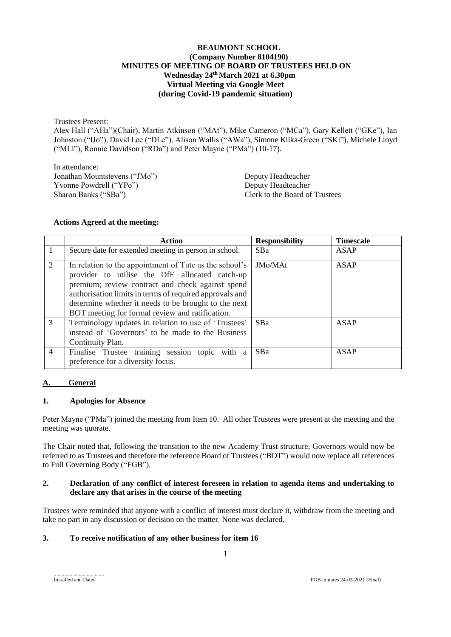#### **BEAUMONT SCHOOL (Company Number 8104190) MINUTES OF MEETING OF BOARD OF TRUSTEES HELD ON Wednesday 24 thMarch 2021 at 6.30pm Virtual Meeting via Google Meet (during Covid-19 pandemic situation)**

Trustees Present:

Alex Hall ("AHa")(Chair), Martin Atkinson ("MAt"), Mike Cameron ("MCa"), Gary Kellett ("GKe"), Ian Johnston ("IJo"), David Lee ("DLe"), Alison Wallis ("AWa"), Simone Kilka-Green ("SKi"), Michele Lloyd ("MLl"), Ronnie Davidson ("RDa") and Peter Mayne ("PMa") (10-17).

In attendance: Jonathan Mountstevens ("JMo") Deputy Headteacher Yvonne Powdrell ("YPo")<br>
Sharon Banks ("SBa") Deputy Headteacher<br>
Clerk to the Board of

Clerk to the Board of Trustees

#### **Actions Agreed at the meeting:**

|                | Action                                                                                                                                                                                                                                                                                                                             | <b>Responsibility</b> | <b>Timescale</b> |
|----------------|------------------------------------------------------------------------------------------------------------------------------------------------------------------------------------------------------------------------------------------------------------------------------------------------------------------------------------|-----------------------|------------------|
|                | Secure date for extended meeting in person in school.                                                                                                                                                                                                                                                                              | <b>SBa</b>            | <b>ASAP</b>      |
| $\overline{2}$ | In relation to the appointment of Tute as the school's<br>provider to utilise the DfE allocated catch-up<br>premium; review contract and check against spend<br>authorisation limits in terms of required approvals and<br>determine whether it needs to be brought to the next<br>BOT meeting for formal review and ratification. | JMo/MAt               | <b>ASAP</b>      |
| $\mathcal{R}$  | Terminology updates in relation to use of 'Trustees'<br>instead of 'Governors' to be made to the Business<br>Continuity Plan.                                                                                                                                                                                                      | SBa                   | <b>ASAP</b>      |
| $\overline{4}$ | Finalise Trustee training session topic with a<br>preference for a diversity focus.                                                                                                                                                                                                                                                | <b>SBa</b>            | ASAP             |

#### **A. General**

#### **1. Apologies for Absence**

Peter Mayne ("PMa") joined the meeting from Item 10. All other Trustees were present at the meeting and the meeting was quorate.

The Chair noted that, following the transition to the new Academy Trust structure, Governors would now be referred to as Trustees and therefore the reference Board of Trustees ("BOT") would now replace all references to Full Governing Body ("FGB").

#### **2. Declaration of any conflict of interest foreseen in relation to agenda items and undertaking to declare any that arises in the course of the meeting**

Trustees were reminded that anyone with a conflict of interest must declare it, withdraw from the meeting and take no part in any discussion or decision on the matter. None was declared.

#### **3. To receive notification of any other business for item 16**

......................................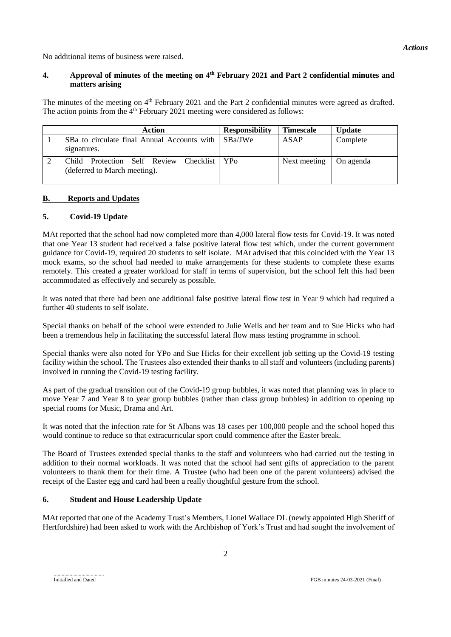No additional items of business were raised.

#### **4. Approval of minutes of the meeting on 4 th February 2021 and Part 2 confidential minutes and matters arising**

The minutes of the meeting on 4<sup>th</sup> February 2021 and the Part 2 confidential minutes were agreed as drafted. The action points from the  $4<sup>th</sup>$  February 2021 meeting were considered as follows:

| Action                                                                          | <b>Responsibility</b> | <b>Timescale</b> | <b>Update</b> |
|---------------------------------------------------------------------------------|-----------------------|------------------|---------------|
| SBa to circulate final Annual Accounts with   SBa/JWe<br>signatures.            |                       | ASAP             | Complete      |
| Protection Self Review Checklist   YPo<br>Child<br>(deferred to March meeting). |                       | Next meeting     | On agenda     |

#### **B. Reports and Updates**

#### **5. Covid-19 Update**

MAt reported that the school had now completed more than 4,000 lateral flow tests for Covid-19. It was noted that one Year 13 student had received a false positive lateral flow test which, under the current government guidance for Covid-19, required 20 students to self isolate. MAt advised that this coincided with the Year 13 mock exams, so the school had needed to make arrangements for these students to complete these exams remotely. This created a greater workload for staff in terms of supervision, but the school felt this had been accommodated as effectively and securely as possible.

It was noted that there had been one additional false positive lateral flow test in Year 9 which had required a further 40 students to self isolate.

Special thanks on behalf of the school were extended to Julie Wells and her team and to Sue Hicks who had been a tremendous help in facilitating the successful lateral flow mass testing programme in school.

Special thanks were also noted for YPo and Sue Hicks for their excellent job setting up the Covid-19 testing facility within the school. The Trustees also extended their thanks to all staff and volunteers (including parents) involved in running the Covid-19 testing facility.

As part of the gradual transition out of the Covid-19 group bubbles, it was noted that planning was in place to move Year 7 and Year 8 to year group bubbles (rather than class group bubbles) in addition to opening up special rooms for Music, Drama and Art.

It was noted that the infection rate for St Albans was 18 cases per 100,000 people and the school hoped this would continue to reduce so that extracurricular sport could commence after the Easter break.

The Board of Trustees extended special thanks to the staff and volunteers who had carried out the testing in addition to their normal workloads. It was noted that the school had sent gifts of appreciation to the parent volunteers to thank them for their time. A Trustee (who had been one of the parent volunteers) advised the receipt of the Easter egg and card had been a really thoughtful gesture from the school.

#### **6. Student and House Leadership Update**

MAt reported that one of the Academy Trust's Members, Lionel Wallace DL (newly appointed High Sheriff of Hertfordshire) had been asked to work with the Archbishop of York's Trust and had sought the involvement of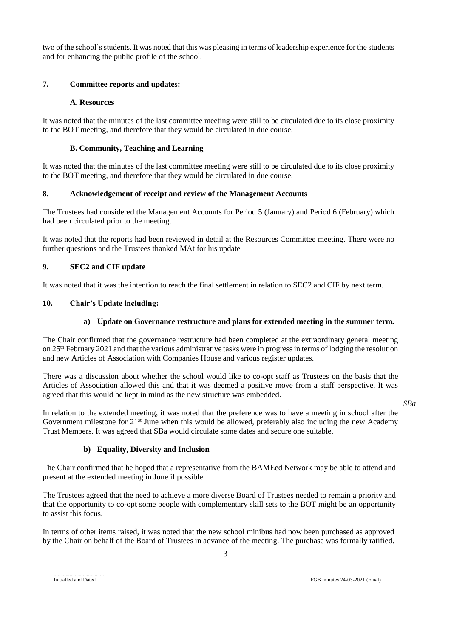two of the school's students. It was noted that this was pleasing in terms of leadership experience for the students and for enhancing the public profile of the school.

#### **7. Committee reports and updates:**

#### **A. Resources**

It was noted that the minutes of the last committee meeting were still to be circulated due to its close proximity to the BOT meeting, and therefore that they would be circulated in due course.

#### **B. Community, Teaching and Learning**

It was noted that the minutes of the last committee meeting were still to be circulated due to its close proximity to the BOT meeting, and therefore that they would be circulated in due course.

#### **8. Acknowledgement of receipt and review of the Management Accounts**

The Trustees had considered the Management Accounts for Period 5 (January) and Period 6 (February) which had been circulated prior to the meeting.

It was noted that the reports had been reviewed in detail at the Resources Committee meeting. There were no further questions and the Trustees thanked MAt for his update

#### **9. SEC2 and CIF update**

It was noted that it was the intention to reach the final settlement in relation to SEC2 and CIF by next term.

#### **10. Chair's Update including:**

#### **a) Update on Governance restructure and plans for extended meeting in the summer term.**

The Chair confirmed that the governance restructure had been completed at the extraordinary general meeting on 25th February 2021 and that the various administrative tasks were in progress in terms of lodging the resolution and new Articles of Association with Companies House and various register updates.

There was a discussion about whether the school would like to co-opt staff as Trustees on the basis that the Articles of Association allowed this and that it was deemed a positive move from a staff perspective. It was agreed that this would be kept in mind as the new structure was embedded.

*SBa*

In relation to the extended meeting, it was noted that the preference was to have a meeting in school after the Government milestone for 21<sup>st</sup> June when this would be allowed, preferably also including the new Academy Trust Members. It was agreed that SBa would circulate some dates and secure one suitable.

#### **b) Equality, Diversity and Inclusion**

The Chair confirmed that he hoped that a representative from the BAMEed Network may be able to attend and present at the extended meeting in June if possible.

The Trustees agreed that the need to achieve a more diverse Board of Trustees needed to remain a priority and that the opportunity to co-opt some people with complementary skill sets to the BOT might be an opportunity to assist this focus.

In terms of other items raised, it was noted that the new school minibus had now been purchased as approved by the Chair on behalf of the Board of Trustees in advance of the meeting. The purchase was formally ratified.

......................................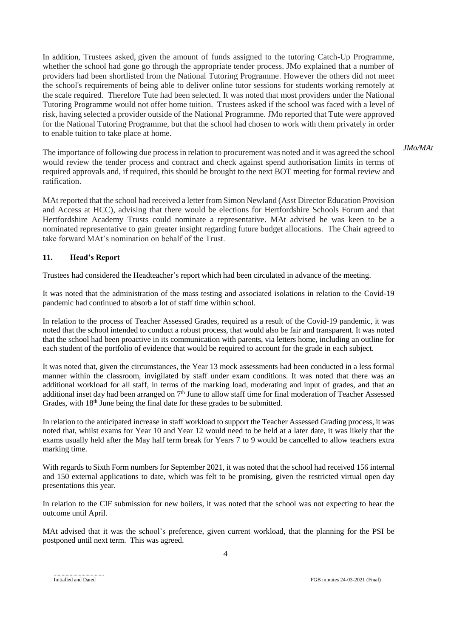In addition, Trustees asked, given the amount of funds assigned to the tutoring Catch-Up Programme, whether the school had gone go through the appropriate tender process. JMo explained that a number of providers had been shortlisted from the National Tutoring Programme. However the others did not meet the school's requirements of being able to deliver online tutor sessions for students working remotely at the scale required. Therefore Tute had been selected. It was noted that most providers under the National Tutoring Programme would not offer home tuition. Trustees asked if the school was faced with a level of risk, having selected a provider outside of the National Programme. JMo reported that Tute were approved for the National Tutoring Programme, but that the school had chosen to work with them privately in order to enable tuition to take place at home.

The importance of following due process in relation to procurement was noted and it was agreed the school would review the tender process and contract and check against spend authorisation limits in terms of required approvals and, if required, this should be brought to the next BOT meeting for formal review and ratification. *JMo/MAt*

MAt reported that the school had received a letter from Simon Newland (Asst Director Education Provision and Access at HCC), advising that there would be elections for Hertfordshire Schools Forum and that Hertfordshire Academy Trusts could nominate a representative. MAt advised he was keen to be a nominated representative to gain greater insight regarding future budget allocations. The Chair agreed to take forward MAt's nomination on behalf of the Trust.

#### **11. Head's Report**

Trustees had considered the Headteacher's report which had been circulated in advance of the meeting.

It was noted that the administration of the mass testing and associated isolations in relation to the Covid-19 pandemic had continued to absorb a lot of staff time within school.

In relation to the process of Teacher Assessed Grades, required as a result of the Covid-19 pandemic, it was noted that the school intended to conduct a robust process, that would also be fair and transparent. It was noted that the school had been proactive in its communication with parents, via letters home, including an outline for each student of the portfolio of evidence that would be required to account for the grade in each subject.

It was noted that, given the circumstances, the Year 13 mock assessments had been conducted in a less formal manner within the classroom, invigilated by staff under exam conditions. It was noted that there was an additional workload for all staff, in terms of the marking load, moderating and input of grades, and that an additional inset day had been arranged on 7<sup>th</sup> June to allow staff time for final moderation of Teacher Assessed Grades, with 18<sup>th</sup> June being the final date for these grades to be submitted.

In relation to the anticipated increase in staff workload to support the Teacher Assessed Grading process, it was noted that, whilst exams for Year 10 and Year 12 would need to be held at a later date, it was likely that the exams usually held after the May half term break for Years 7 to 9 would be cancelled to allow teachers extra marking time.

With regards to Sixth Form numbers for September 2021, it was noted that the school had received 156 internal and 150 external applications to date, which was felt to be promising, given the restricted virtual open day presentations this year.

In relation to the CIF submission for new boilers, it was noted that the school was not expecting to hear the outcome until April.

MAt advised that it was the school's preference, given current workload, that the planning for the PSI be postponed until next term. This was agreed.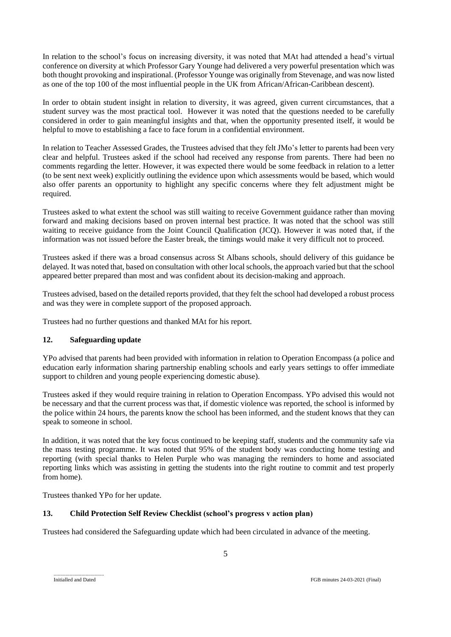In relation to the school's focus on increasing diversity, it was noted that MAt had attended a head's virtual conference on diversity at which Professor Gary Younge had delivered a very powerful presentation which was both thought provoking and inspirational. (Professor Younge was originally from Stevenage, and was now listed as one of the top 100 of the most influential people in the UK from African/African-Caribbean descent).

In order to obtain student insight in relation to diversity, it was agreed, given current circumstances, that a student survey was the most practical tool. However it was noted that the questions needed to be carefully considered in order to gain meaningful insights and that, when the opportunity presented itself, it would be helpful to move to establishing a face to face forum in a confidential environment.

In relation to Teacher Assessed Grades, the Trustees advised that they felt JMo's letter to parents had been very clear and helpful. Trustees asked if the school had received any response from parents. There had been no comments regarding the letter. However, it was expected there would be some feedback in relation to a letter (to be sent next week) explicitly outlining the evidence upon which assessments would be based, which would also offer parents an opportunity to highlight any specific concerns where they felt adjustment might be required.

Trustees asked to what extent the school was still waiting to receive Government guidance rather than moving forward and making decisions based on proven internal best practice. It was noted that the school was still waiting to receive guidance from the Joint Council Qualification (JCQ). However it was noted that, if the information was not issued before the Easter break, the timings would make it very difficult not to proceed.

Trustees asked if there was a broad consensus across St Albans schools, should delivery of this guidance be delayed. It was noted that, based on consultation with other local schools, the approach varied but that the school appeared better prepared than most and was confident about its decision-making and approach.

Trustees advised, based on the detailed reports provided, that they felt the school had developed a robust process and was they were in complete support of the proposed approach.

Trustees had no further questions and thanked MAt for his report.

#### **12. Safeguarding update**

YPo advised that parents had been provided with information in relation to Operation Encompass (a police and education early information sharing partnership enabling schools and early years settings to offer immediate support to children and young people experiencing domestic abuse).

Trustees asked if they would require training in relation to Operation Encompass. YPo advised this would not be necessary and that the current process was that, if domestic violence was reported, the school is informed by the police within 24 hours, the parents know the school has been informed, and the student knows that they can speak to someone in school.

In addition, it was noted that the key focus continued to be keeping staff, students and the community safe via the mass testing programme. It was noted that 95% of the student body was conducting home testing and reporting (with special thanks to Helen Purple who was managing the reminders to home and associated reporting links which was assisting in getting the students into the right routine to commit and test properly from home).

Trustees thanked YPo for her update.

#### **13. Child Protection Self Review Checklist (school's progress v action plan)**

Trustees had considered the Safeguarding update which had been circulated in advance of the meeting.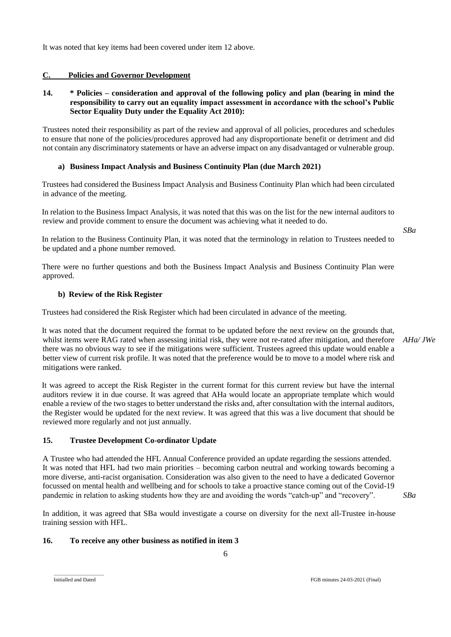In addition, it was agreed that SBa would investigate a course on diversity for the next all-Trustee in-house training session with HFL.

#### **16. To receive any other business as notified in item 3**

6

......................................

pandemic in relation to asking students how they are and avoiding the words "catch-up" and "recovery".

A Trustee who had attended the HFL Annual Conference provided an update regarding the sessions attended. It was noted that HFL had two main priorities – becoming carbon neutral and working towards becoming a more diverse, anti-racist organisation. Consideration was also given to the need to have a dedicated Governor focussed on mental health and wellbeing and for schools to take a proactive stance coming out of the Covid-19

**15. Trustee Development Co-ordinator Update** 

whilst items were RAG rated when assessing initial risk, they were not re-rated after mitigation, and therefore there was no obvious way to see if the mitigations were sufficient. Trustees agreed this update would enable a better view of current risk profile. It was noted that the preference would be to move to a model where risk and mitigations were ranked.

There were no further questions and both the Business Impact Analysis and Business Continuity Plan were

in advance of the meeting.

Trustees had considered the Business Impact Analysis and Business Continuity Plan which had been circulated

Trustees noted their responsibility as part of the review and approval of all policies, procedures and schedules to ensure that none of the policies/procedures approved had any disproportionate benefit or detriment and did

In relation to the Business Impact Analysis, it was noted that this was on the list for the new internal auditors to

review and provide comment to ensure the document was achieving what it needed to do.

In relation to the Business Continuity Plan, it was noted that the terminology in relation to Trustees needed to be updated and a phone number removed.

approved.

# **b) Review of the Risk Register**

Trustees had considered the Risk Register which had been circulated in advance of the meeting.

It was noted that the document required the format to be updated before the next review on the grounds that, *AHa/ JWe*

It was agreed to accept the Risk Register in the current format for this current review but have the internal auditors review it in due course. It was agreed that AHa would locate an appropriate template which would

enable a review of the two stages to better understand the risks and, after consultation with the internal auditors, the Register would be updated for the next review. It was agreed that this was a live document that should be reviewed more regularly and not just annually.

# not contain any discriminatory statements or have an adverse impact on any disadvantaged or vulnerable group. **a) Business Impact Analysis and Business Continuity Plan (due March 2021)**

**14. \* Policies – consideration and approval of the following policy and plan (bearing in mind the responsibility to carry out an equality impact assessment in accordance with the school's Public** 

It was noted that key items had been covered under item 12 above.

**Sector Equality Duty under the Equality Act 2010):**

**C. Policies and Governor Development**

*SBa*